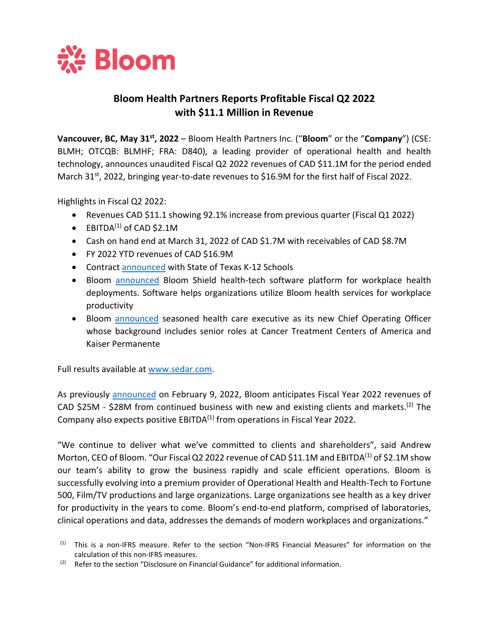

# **Bloom Health Partners Reports Profitable Fiscal Q2 2022 with \$11.1 Million in Revenue**

**Vancouver, BC, May 31st, 2022** – Bloom Health Partners Inc. ("**Bloom**" or the "**Company**") (CSE: BLMH; OTCQB: BLMHF; FRA: D840), a leading provider of operational health and health technology, announces unaudited Fiscal Q2 2022 revenues of CAD \$11.1M for the period ended March 31<sup>st</sup>, 2022, bringing year-to-date revenues to \$16.9M for the first half of Fiscal 2022.

Highlights in Fiscal Q2 2022:

- Revenues CAD \$11.1 showing 92.1% increase from previous quarter (Fiscal Q1 2022)
- $\bullet$  EBITDA<sup>(1)</sup> of CAD \$2.1M
- Cash on hand end at March 31, 2022 of CAD \$1.7M with receivables of CAD \$8.7M
- FY 2022 YTD revenues of CAD \$16.9M
- Contract [announced](https://www.bloomhealthpartners.com/wp-content/uploads/2022/01/BHP-A-Contract-With-State-of-Texas-For-K-12-18-Jan-22.pdf) with State of Texas K-12 Schools
- Bloom **[announced](https://www.bloomhealthpartners.com/wp-content/uploads/2022/03/BHP-February-16-2022.pdf)** Bloom Shield health-tech software platform for workplace health deployments. Software helps organizations utilize Bloom health services for workplace productivity
- Bloom **announced** seasoned health care executive as its new Chief Operating Officer whose background includes senior roles at Cancer Treatment Centers of America and Kaiser Permanente

Full results available at [www.sedar.com.](http://www.sedar.com/)

As previously [announced](https://www.bloomhealthpartners.com/wp-content/uploads/2022/02/BHP_Corporate-Update-and-Revenue-Guidance_2022.02.09.pdf) on February 9, 2022, Bloom anticipates Fiscal Year 2022 revenues of CAD \$25M - \$28M from continued business with new and existing clients and markets.<sup>(2)</sup> The Company also expects positive EBITDA $(1)$  from operations in Fiscal Year 2022.

"We continue to deliver what we've committed to clients and shareholders", said Andrew Morton, CEO of Bloom. "Our Fiscal Q2 2022 revenue of CAD \$11.1M and EBITDA<sup>(1)</sup> of \$2.1M show our team's ability to grow the business rapidly and scale efficient operations. Bloom is successfully evolving into a premium provider of Operational Health and Health-Tech to Fortune 500, Film/TV productions and large organizations. Large organizations see health as a key driver for productivity in the years to come. Bloom's end-to-end platform, comprised of laboratories, clinical operations and data, addresses the demands of modern workplaces and organizations."

<sup>(1)</sup> This is a non-IFRS measure. Refer to the section "Non-IFRS Financial Measures" for information on the calculation of this non-IFRS measures.

 $(2)$  Refer to the section "Disclosure on Financial Guidance" for additional information.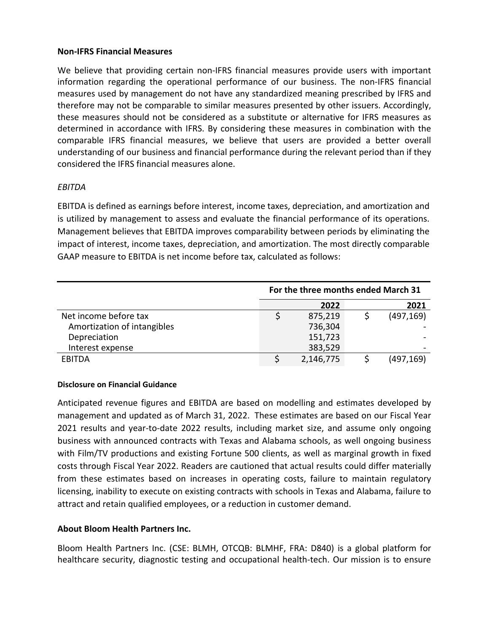### **Non-IFRS Financial Measures**

We believe that providing certain non-IFRS financial measures provide users with important information regarding the operational performance of our business. The non-IFRS financial measures used by management do not have any standardized meaning prescribed by IFRS and therefore may not be comparable to similar measures presented by other issuers. Accordingly, these measures should not be considered as a substitute or alternative for IFRS measures as determined in accordance with IFRS. By considering these measures in combination with the comparable IFRS financial measures, we believe that users are provided a better overall understanding of our business and financial performance during the relevant period than if they considered the IFRS financial measures alone.

## *EBITDA*

EBITDA is defined as earnings before interest, income taxes, depreciation, and amortization and is utilized by management to assess and evaluate the financial performance of its operations. Management believes that EBITDA improves comparability between periods by eliminating the impact of interest, income taxes, depreciation, and amortization. The most directly comparable GAAP measure to EBITDA is net income before tax, calculated as follows:

|                             | For the three months ended March 31 |           |  |            |
|-----------------------------|-------------------------------------|-----------|--|------------|
|                             |                                     | 2022      |  | 2021       |
| Net income before tax       |                                     | 875,219   |  | (497, 169) |
| Amortization of intangibles |                                     | 736,304   |  |            |
| Depreciation                |                                     | 151,723   |  |            |
| Interest expense            |                                     | 383,529   |  |            |
| EBITDA                      |                                     | 2,146,775 |  | (497,169)  |

#### **Disclosure on Financial Guidance**

Anticipated revenue figures and EBITDA are based on modelling and estimates developed by management and updated as of March 31, 2022. These estimates are based on our Fiscal Year 2021 results and year-to-date 2022 results, including market size, and assume only ongoing business with announced contracts with Texas and Alabama schools, as well ongoing business with Film/TV productions and existing Fortune 500 clients, as well as marginal growth in fixed costs through Fiscal Year 2022. Readers are cautioned that actual results could differ materially from these estimates based on increases in operating costs, failure to maintain regulatory licensing, inability to execute on existing contracts with schools in Texas and Alabama, failure to attract and retain qualified employees, or a reduction in customer demand.

## **About Bloom Health Partners Inc.**

Bloom Health Partners Inc. (CSE: BLMH, OTCQB: BLMHF, FRA: D840) is a global platform for healthcare security, diagnostic testing and occupational health-tech. Our mission is to ensure